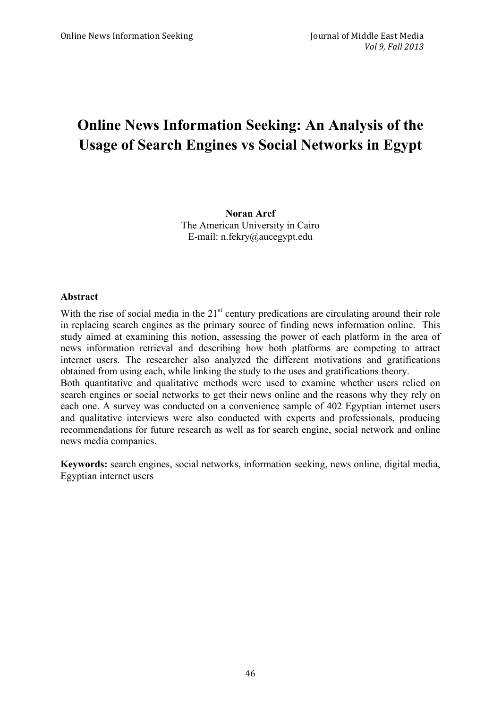# **Online News Information Seeking: An Analysis of the Usage of Search Engines vs Social Networks in Egypt**

**Noran Aref** The American University in Cairo E-mail: n.fekry@aucegypt.edu

#### **Abstract**

With the rise of social media in the  $21<sup>st</sup>$  century predications are circulating around their role in replacing search engines as the primary source of finding news information online. This study aimed at examining this notion, assessing the power of each platform in the area of news information retrieval and describing how both platforms are competing to attract internet users. The researcher also analyzed the different motivations and gratifications obtained from using each, while linking the study to the uses and gratifications theory. Both quantitative and qualitative methods were used to examine whether users relied on search engines or social networks to get their news online and the reasons why they rely on each one. A survey was conducted on a convenience sample of 402 Egyptian internet users and qualitative interviews were also conducted with experts and professionals, producing recommendations for future research as well as for search engine, social network and online news media companies.

**Keywords:** search engines, social networks, information seeking, news online, digital media, Egyptian internet users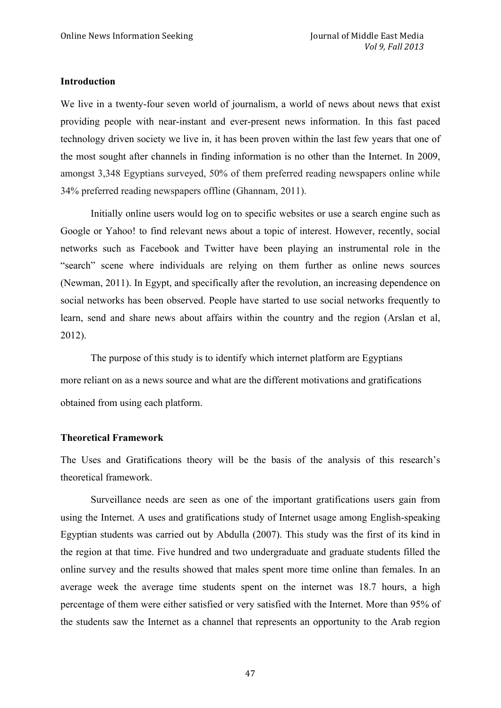#### **Introduction**

We live in a twenty-four seven world of journalism, a world of news about news that exist providing people with near-instant and ever-present news information. In this fast paced technology driven society we live in, it has been proven within the last few years that one of the most sought after channels in finding information is no other than the Internet. In 2009, amongst 3,348 Egyptians surveyed, 50% of them preferred reading newspapers online while 34% preferred reading newspapers offline (Ghannam, 2011).

Initially online users would log on to specific websites or use a search engine such as Google or Yahoo! to find relevant news about a topic of interest. However, recently, social networks such as Facebook and Twitter have been playing an instrumental role in the "search" scene where individuals are relying on them further as online news sources (Newman, 2011). In Egypt, and specifically after the revolution, an increasing dependence on social networks has been observed. People have started to use social networks frequently to learn, send and share news about affairs within the country and the region (Arslan et al, 2012).

The purpose of this study is to identify which internet platform are Egyptians more reliant on as a news source and what are the different motivations and gratifications obtained from using each platform.

#### **Theoretical Framework**

The Uses and Gratifications theory will be the basis of the analysis of this research's theoretical framework.

Surveillance needs are seen as one of the important gratifications users gain from using the Internet. A uses and gratifications study of Internet usage among English-speaking Egyptian students was carried out by Abdulla (2007). This study was the first of its kind in the region at that time. Five hundred and two undergraduate and graduate students filled the online survey and the results showed that males spent more time online than females. In an average week the average time students spent on the internet was 18.7 hours, a high percentage of them were either satisfied or very satisfied with the Internet. More than 95% of the students saw the Internet as a channel that represents an opportunity to the Arab region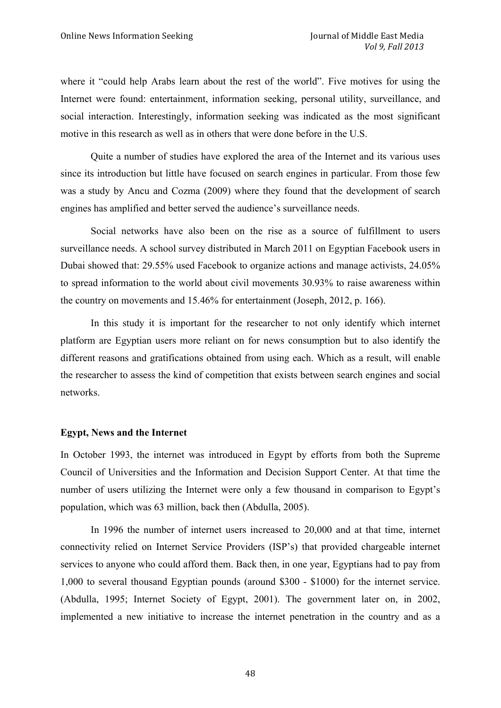where it "could help Arabs learn about the rest of the world". Five motives for using the Internet were found: entertainment, information seeking, personal utility, surveillance, and social interaction. Interestingly, information seeking was indicated as the most significant motive in this research as well as in others that were done before in the U.S.

Quite a number of studies have explored the area of the Internet and its various uses since its introduction but little have focused on search engines in particular. From those few was a study by Ancu and Cozma (2009) where they found that the development of search engines has amplified and better served the audience's surveillance needs.

Social networks have also been on the rise as a source of fulfillment to users surveillance needs. A school survey distributed in March 2011 on Egyptian Facebook users in Dubai showed that: 29.55% used Facebook to organize actions and manage activists, 24.05% to spread information to the world about civil movements 30.93% to raise awareness within the country on movements and 15.46% for entertainment (Joseph, 2012, p. 166).

In this study it is important for the researcher to not only identify which internet platform are Egyptian users more reliant on for news consumption but to also identify the different reasons and gratifications obtained from using each. Which as a result, will enable the researcher to assess the kind of competition that exists between search engines and social networks.

#### **Egypt, News and the Internet**

In October 1993, the internet was introduced in Egypt by efforts from both the Supreme Council of Universities and the Information and Decision Support Center. At that time the number of users utilizing the Internet were only a few thousand in comparison to Egypt's population, which was 63 million, back then (Abdulla, 2005).

In 1996 the number of internet users increased to 20,000 and at that time, internet connectivity relied on Internet Service Providers (ISP's) that provided chargeable internet services to anyone who could afford them. Back then, in one year, Egyptians had to pay from 1,000 to several thousand Egyptian pounds (around \$300 - \$1000) for the internet service. (Abdulla, 1995; Internet Society of Egypt, 2001). The government later on, in 2002, implemented a new initiative to increase the internet penetration in the country and as a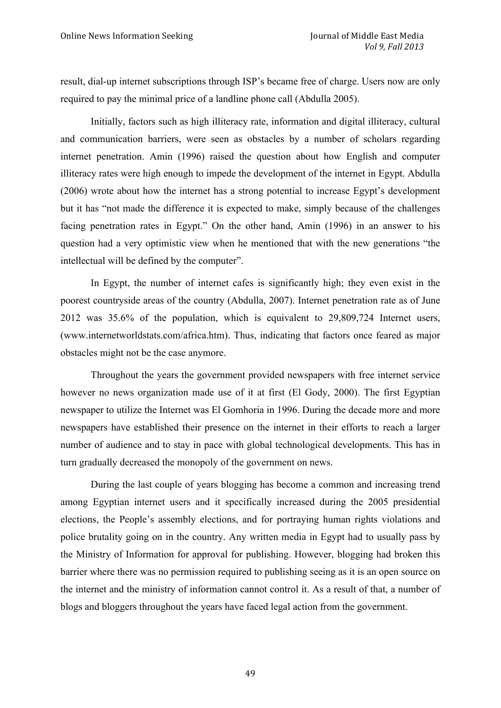result, dial-up internet subscriptions through ISP's became free of charge. Users now are only required to pay the minimal price of a landline phone call (Abdulla 2005).

Initially, factors such as high illiteracy rate, information and digital illiteracy, cultural and communication barriers, were seen as obstacles by a number of scholars regarding internet penetration. Amin (1996) raised the question about how English and computer illiteracy rates were high enough to impede the development of the internet in Egypt. Abdulla (2006) wrote about how the internet has a strong potential to increase Egypt's development but it has "not made the difference it is expected to make, simply because of the challenges facing penetration rates in Egypt." On the other hand, Amin (1996) in an answer to his question had a very optimistic view when he mentioned that with the new generations "the intellectual will be defined by the computer".

In Egypt, the number of internet cafes is significantly high; they even exist in the poorest countryside areas of the country (Abdulla, 2007). Internet penetration rate as of June 2012 was 35.6% of the population, which is equivalent to 29,809,724 Internet users, (www.internetworldstats.com/africa.htm). Thus, indicating that factors once feared as major obstacles might not be the case anymore.

Throughout the years the government provided newspapers with free internet service however no news organization made use of it at first (El Gody, 2000). The first Egyptian newspaper to utilize the Internet was El Gomhoria in 1996. During the decade more and more newspapers have established their presence on the internet in their efforts to reach a larger number of audience and to stay in pace with global technological developments. This has in turn gradually decreased the monopoly of the government on news.

During the last couple of years blogging has become a common and increasing trend among Egyptian internet users and it specifically increased during the 2005 presidential elections, the People's assembly elections, and for portraying human rights violations and police brutality going on in the country. Any written media in Egypt had to usually pass by the Ministry of Information for approval for publishing. However, blogging had broken this barrier where there was no permission required to publishing seeing as it is an open source on the internet and the ministry of information cannot control it. As a result of that, a number of blogs and bloggers throughout the years have faced legal action from the government.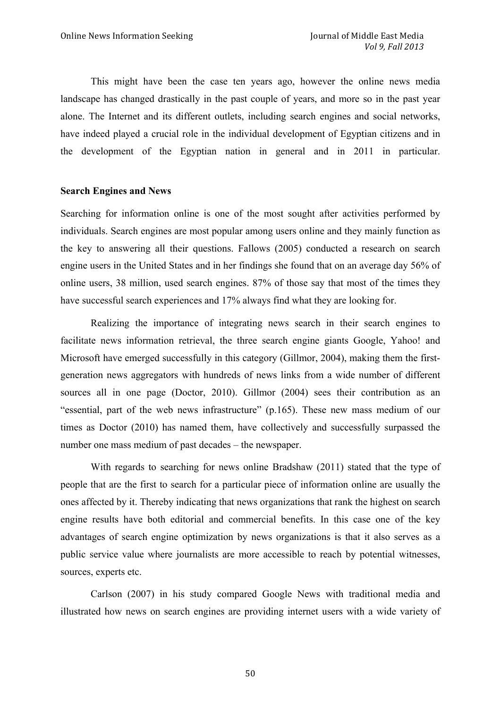This might have been the case ten years ago, however the online news media landscape has changed drastically in the past couple of years, and more so in the past year alone. The Internet and its different outlets, including search engines and social networks, have indeed played a crucial role in the individual development of Egyptian citizens and in the development of the Egyptian nation in general and in 2011 in particular.

#### **Search Engines and News**

Searching for information online is one of the most sought after activities performed by individuals. Search engines are most popular among users online and they mainly function as the key to answering all their questions. Fallows (2005) conducted a research on search engine users in the United States and in her findings she found that on an average day 56% of online users, 38 million, used search engines. 87% of those say that most of the times they have successful search experiences and 17% always find what they are looking for.

Realizing the importance of integrating news search in their search engines to facilitate news information retrieval, the three search engine giants Google, Yahoo! and Microsoft have emerged successfully in this category (Gillmor, 2004), making them the firstgeneration news aggregators with hundreds of news links from a wide number of different sources all in one page (Doctor, 2010). Gillmor (2004) sees their contribution as an "essential, part of the web news infrastructure" (p.165). These new mass medium of our times as Doctor (2010) has named them, have collectively and successfully surpassed the number one mass medium of past decades – the newspaper.

With regards to searching for news online Bradshaw (2011) stated that the type of people that are the first to search for a particular piece of information online are usually the ones affected by it. Thereby indicating that news organizations that rank the highest on search engine results have both editorial and commercial benefits. In this case one of the key advantages of search engine optimization by news organizations is that it also serves as a public service value where journalists are more accessible to reach by potential witnesses, sources, experts etc.

Carlson (2007) in his study compared Google News with traditional media and illustrated how news on search engines are providing internet users with a wide variety of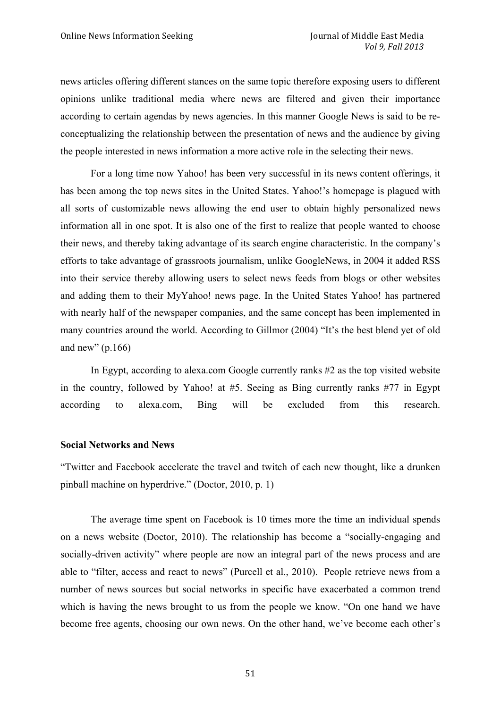news articles offering different stances on the same topic therefore exposing users to different opinions unlike traditional media where news are filtered and given their importance according to certain agendas by news agencies. In this manner Google News is said to be reconceptualizing the relationship between the presentation of news and the audience by giving the people interested in news information a more active role in the selecting their news.

For a long time now Yahoo! has been very successful in its news content offerings, it has been among the top news sites in the United States. Yahoo!'s homepage is plagued with all sorts of customizable news allowing the end user to obtain highly personalized news information all in one spot. It is also one of the first to realize that people wanted to choose their news, and thereby taking advantage of its search engine characteristic. In the company's efforts to take advantage of grassroots journalism, unlike GoogleNews, in 2004 it added RSS into their service thereby allowing users to select news feeds from blogs or other websites and adding them to their MyYahoo! news page. In the United States Yahoo! has partnered with nearly half of the newspaper companies, and the same concept has been implemented in many countries around the world. According to Gillmor (2004) "It's the best blend yet of old and new"  $(p.166)$ 

In Egypt, according to alexa.com Google currently ranks #2 as the top visited website in the country, followed by Yahoo! at #5. Seeing as Bing currently ranks #77 in Egypt according to alexa.com, Bing will be excluded from this research.

#### **Social Networks and News**

"Twitter and Facebook accelerate the travel and twitch of each new thought, like a drunken pinball machine on hyperdrive." (Doctor, 2010, p. 1)

The average time spent on Facebook is 10 times more the time an individual spends on a news website (Doctor, 2010). The relationship has become a "socially-engaging and socially-driven activity" where people are now an integral part of the news process and are able to "filter, access and react to news" (Purcell et al., 2010). People retrieve news from a number of news sources but social networks in specific have exacerbated a common trend which is having the news brought to us from the people we know. "On one hand we have become free agents, choosing our own news. On the other hand, we've become each other's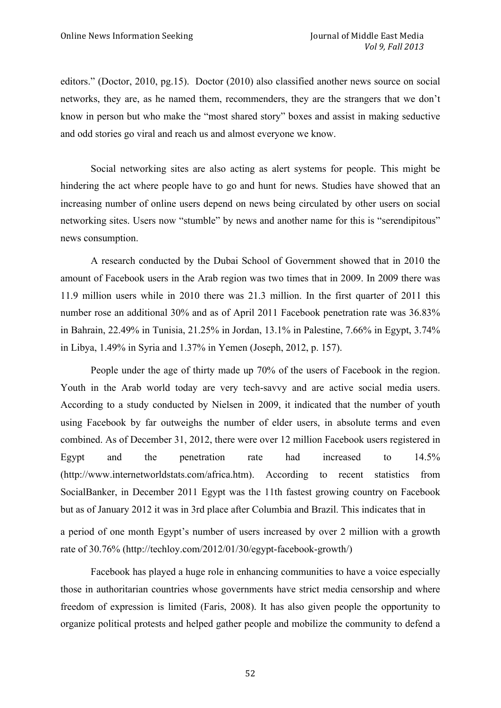editors." (Doctor, 2010, pg.15). Doctor (2010) also classified another news source on social networks, they are, as he named them, recommenders, they are the strangers that we don't know in person but who make the "most shared story" boxes and assist in making seductive and odd stories go viral and reach us and almost everyone we know.

Social networking sites are also acting as alert systems for people. This might be hindering the act where people have to go and hunt for news. Studies have showed that an increasing number of online users depend on news being circulated by other users on social networking sites. Users now "stumble" by news and another name for this is "serendipitous" news consumption.

A research conducted by the Dubai School of Government showed that in 2010 the amount of Facebook users in the Arab region was two times that in 2009. In 2009 there was 11.9 million users while in 2010 there was 21.3 million. In the first quarter of 2011 this number rose an additional 30% and as of April 2011 Facebook penetration rate was 36.83% in Bahrain, 22.49% in Tunisia, 21.25% in Jordan, 13.1% in Palestine, 7.66% in Egypt, 3.74% in Libya, 1.49% in Syria and 1.37% in Yemen (Joseph, 2012, p. 157).

People under the age of thirty made up 70% of the users of Facebook in the region. Youth in the Arab world today are very tech-savvy and are active social media users. According to a study conducted by Nielsen in 2009, it indicated that the number of youth using Facebook by far outweighs the number of elder users, in absolute terms and even combined. As of December 31, 2012, there were over 12 million Facebook users registered in Egypt and the penetration rate had increased to 14.5% (http://www.internetworldstats.com/africa.htm). According to recent statistics from SocialBanker, in December 2011 Egypt was the 11th fastest growing country on Facebook but as of January 2012 it was in 3rd place after Columbia and Brazil. This indicates that in

a period of one month Egypt's number of users increased by over 2 million with a growth rate of 30.76% (http://techloy.com/2012/01/30/egypt-facebook-growth/)

Facebook has played a huge role in enhancing communities to have a voice especially those in authoritarian countries whose governments have strict media censorship and where freedom of expression is limited (Faris, 2008). It has also given people the opportunity to organize political protests and helped gather people and mobilize the community to defend a

52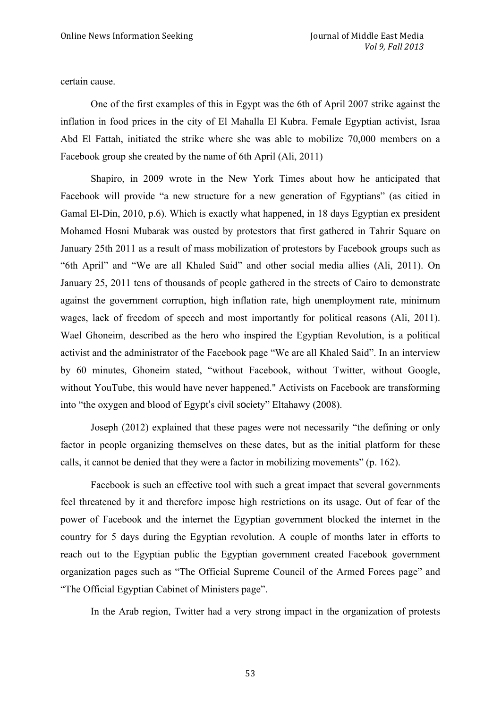certain cause.

One of the first examples of this in Egypt was the 6th of April 2007 strike against the inflation in food prices in the city of El Mahalla El Kubra. Female Egyptian activist, Israa Abd El Fattah, initiated the strike where she was able to mobilize 70,000 members on a Facebook group she created by the name of 6th April (Ali, 2011)

Shapiro, in 2009 wrote in the New York Times about how he anticipated that Facebook will provide "a new structure for a new generation of Egyptians" (as citied in Gamal El-Din, 2010, p.6). Which is exactly what happened, in 18 days Egyptian ex president Mohamed Hosni Mubarak was ousted by protestors that first gathered in Tahrir Square on January 25th 2011 as a result of mass mobilization of protestors by Facebook groups such as "6th April" and "We are all Khaled Said" and other social media allies (Ali, 2011). On January 25, 2011 tens of thousands of people gathered in the streets of Cairo to demonstrate against the government corruption, high inflation rate, high unemployment rate, minimum wages, lack of freedom of speech and most importantly for political reasons (Ali, 2011). Wael Ghoneim, described as the hero who inspired the Egyptian Revolution, is a political activist and the administrator of the Facebook page "We are all Khaled Said". In an interview by 60 minutes, Ghoneim stated, "without Facebook, without Twitter, without Google, without YouTube, this would have never happened." Activists on Facebook are transforming into "the oxygen and blood of Egypt's civil society" Eltahawy (2008).

Joseph (2012) explained that these pages were not necessarily "the defining or only factor in people organizing themselves on these dates, but as the initial platform for these calls, it cannot be denied that they were a factor in mobilizing movements" (p. 162).

Facebook is such an effective tool with such a great impact that several governments feel threatened by it and therefore impose high restrictions on its usage. Out of fear of the power of Facebook and the internet the Egyptian government blocked the internet in the country for 5 days during the Egyptian revolution. A couple of months later in efforts to reach out to the Egyptian public the Egyptian government created Facebook government organization pages such as "The Official Supreme Council of the Armed Forces page" and "The Official Egyptian Cabinet of Ministers page".

In the Arab region, Twitter had a very strong impact in the organization of protests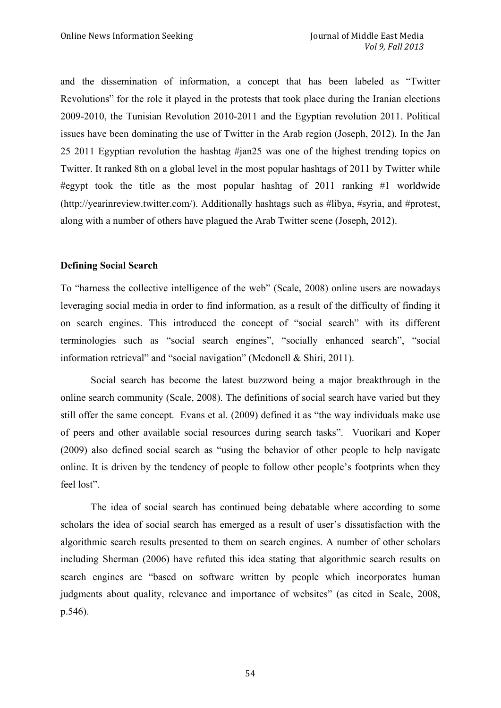and the dissemination of information, a concept that has been labeled as "Twitter Revolutions" for the role it played in the protests that took place during the Iranian elections 2009-2010, the Tunisian Revolution 2010-2011 and the Egyptian revolution 2011. Political issues have been dominating the use of Twitter in the Arab region (Joseph, 2012). In the Jan 25 2011 Egyptian revolution the hashtag #jan25 was one of the highest trending topics on Twitter. It ranked 8th on a global level in the most popular hashtags of 2011 by Twitter while #egypt took the title as the most popular hashtag of 2011 ranking #1 worldwide (http://yearinreview.twitter.com/). Additionally hashtags such as #libya, #syria, and #protest, along with a number of others have plagued the Arab Twitter scene (Joseph, 2012).

## **Defining Social Search**

To "harness the collective intelligence of the web" (Scale, 2008) online users are nowadays leveraging social media in order to find information, as a result of the difficulty of finding it on search engines. This introduced the concept of "social search" with its different terminologies such as "social search engines", "socially enhanced search", "social information retrieval" and "social navigation" (Mcdonell & Shiri, 2011).

Social search has become the latest buzzword being a major breakthrough in the online search community (Scale, 2008). The definitions of social search have varied but they still offer the same concept. Evans et al. (2009) defined it as "the way individuals make use of peers and other available social resources during search tasks". Vuorikari and Koper (2009) also defined social search as "using the behavior of other people to help navigate online. It is driven by the tendency of people to follow other people's footprints when they feel lost".

The idea of social search has continued being debatable where according to some scholars the idea of social search has emerged as a result of user's dissatisfaction with the algorithmic search results presented to them on search engines. A number of other scholars including Sherman (2006) have refuted this idea stating that algorithmic search results on search engines are "based on software written by people which incorporates human judgments about quality, relevance and importance of websites" (as cited in Scale, 2008, p.546).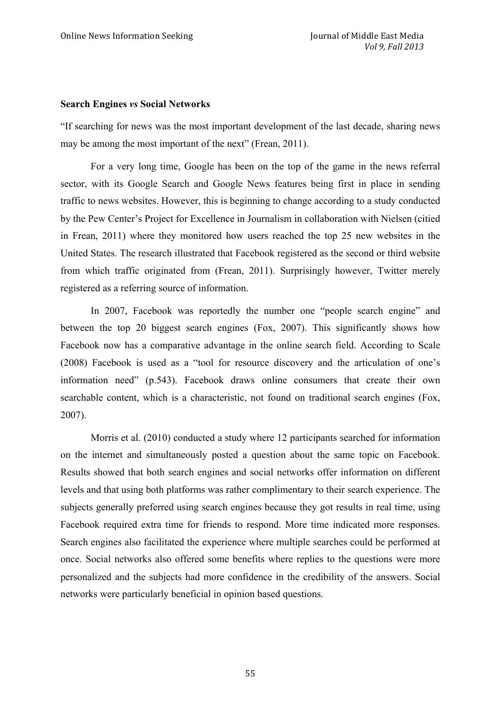#### **Search Engines** *vs* **Social Networks**

"If searching for news was the most important development of the last decade, sharing news may be among the most important of the next" (Frean, 2011).

For a very long time, Google has been on the top of the game in the news referral sector, with its Google Search and Google News features being first in place in sending traffic to news websites. However, this is beginning to change according to a study conducted by the Pew Center's Project for Excellence in Journalism in collaboration with Nielsen (citied in Frean, 2011) where they monitored how users reached the top 25 new websites in the United States. The research illustrated that Facebook registered as the second or third website from which traffic originated from (Frean, 2011). Surprisingly however, Twitter merely registered as a referring source of information.

In 2007, Facebook was reportedly the number one "people search engine" and between the top 20 biggest search engines (Fox, 2007). This significantly shows how Facebook now has a comparative advantage in the online search field. According to Scale (2008) Facebook is used as a "tool for resource discovery and the articulation of one's information need" (p.543). Facebook draws online consumers that create their own searchable content, which is a characteristic, not found on traditional search engines (Fox, 2007).

Morris et al. (2010) conducted a study where 12 participants searched for information on the internet and simultaneously posted a question about the same topic on Facebook. Results showed that both search engines and social networks offer information on different levels and that using both platforms was rather complimentary to their search experience. The subjects generally preferred using search engines because they got results in real time, using Facebook required extra time for friends to respond. More time indicated more responses. Search engines also facilitated the experience where multiple searches could be performed at once. Social networks also offered some benefits where replies to the questions were more personalized and the subjects had more confidence in the credibility of the answers. Social networks were particularly beneficial in opinion based questions.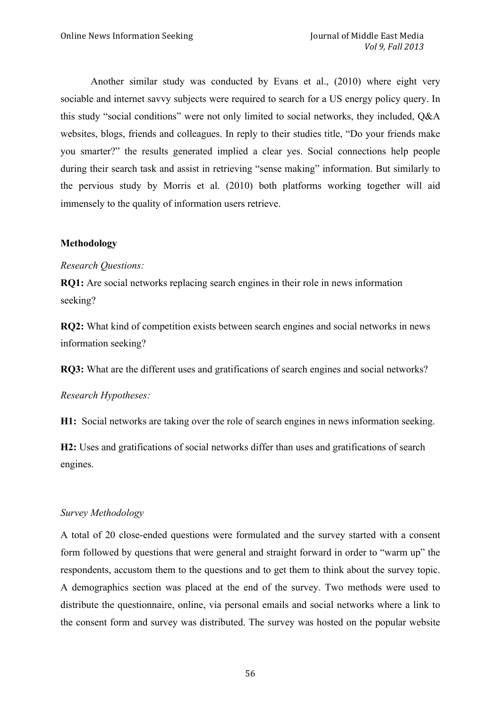Another similar study was conducted by Evans et al., (2010) where eight very sociable and internet savvy subjects were required to search for a US energy policy query. In this study "social conditions" were not only limited to social networks, they included, Q&A websites, blogs, friends and colleagues. In reply to their studies title, "Do your friends make you smarter?" the results generated implied a clear yes. Social connections help people during their search task and assist in retrieving "sense making" information. But similarly to the pervious study by Morris et al. (2010) both platforms working together will aid immensely to the quality of information users retrieve.

# **Methodology**

# *Research Questions:*

**RQ1:** Are social networks replacing search engines in their role in news information seeking?

**RQ2:** What kind of competition exists between search engines and social networks in news information seeking?

**RQ3:** What are the different uses and gratifications of search engines and social networks?

# *Research Hypotheses:*

**H1:** Social networks are taking over the role of search engines in news information seeking.

**H2:** Uses and gratifications of social networks differ than uses and gratifications of search engines.

# *Survey Methodology*

A total of 20 close-ended questions were formulated and the survey started with a consent form followed by questions that were general and straight forward in order to "warm up" the respondents, accustom them to the questions and to get them to think about the survey topic. A demographics section was placed at the end of the survey. Two methods were used to distribute the questionnaire, online, via personal emails and social networks where a link to the consent form and survey was distributed. The survey was hosted on the popular website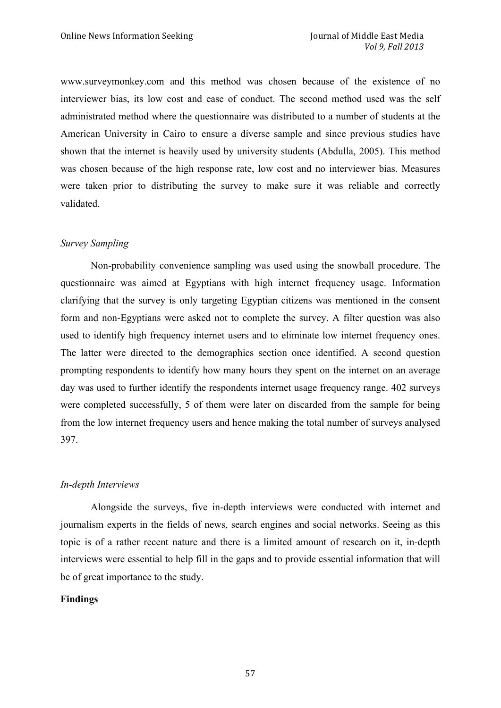www.surveymonkey.com and this method was chosen because of the existence of no interviewer bias, its low cost and ease of conduct. The second method used was the self administrated method where the questionnaire was distributed to a number of students at the American University in Cairo to ensure a diverse sample and since previous studies have shown that the internet is heavily used by university students (Abdulla, 2005). This method was chosen because of the high response rate, low cost and no interviewer bias. Measures were taken prior to distributing the survey to make sure it was reliable and correctly validated.

## *Survey Sampling*

Non-probability convenience sampling was used using the snowball procedure. The questionnaire was aimed at Egyptians with high internet frequency usage. Information clarifying that the survey is only targeting Egyptian citizens was mentioned in the consent form and non-Egyptians were asked not to complete the survey. A filter question was also used to identify high frequency internet users and to eliminate low internet frequency ones. The latter were directed to the demographics section once identified. A second question prompting respondents to identify how many hours they spent on the internet on an average day was used to further identify the respondents internet usage frequency range. 402 surveys were completed successfully, 5 of them were later on discarded from the sample for being from the low internet frequency users and hence making the total number of surveys analysed 397.

#### *In-depth Interviews*

Alongside the surveys, five in-depth interviews were conducted with internet and journalism experts in the fields of news, search engines and social networks. Seeing as this topic is of a rather recent nature and there is a limited amount of research on it, in-depth interviews were essential to help fill in the gaps and to provide essential information that will be of great importance to the study.

# **Findings**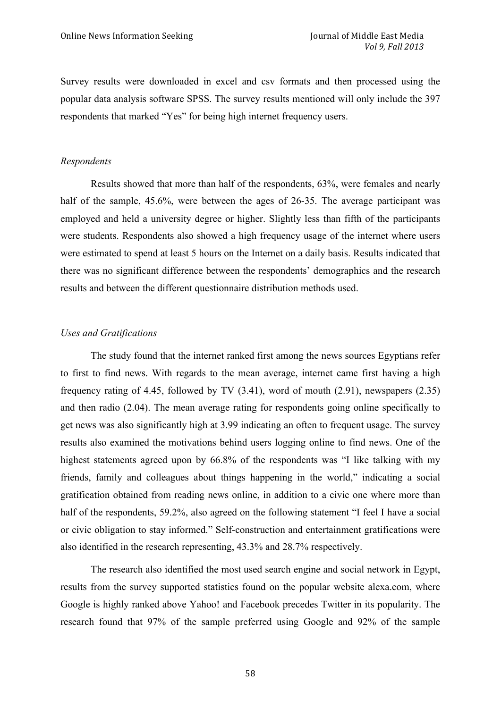Survey results were downloaded in excel and csv formats and then processed using the popular data analysis software SPSS. The survey results mentioned will only include the 397 respondents that marked "Yes" for being high internet frequency users.

#### *Respondents*

Results showed that more than half of the respondents, 63%, were females and nearly half of the sample, 45.6%, were between the ages of 26-35. The average participant was employed and held a university degree or higher. Slightly less than fifth of the participants were students. Respondents also showed a high frequency usage of the internet where users were estimated to spend at least 5 hours on the Internet on a daily basis. Results indicated that there was no significant difference between the respondents' demographics and the research results and between the different questionnaire distribution methods used.

#### *Uses and Gratifications*

The study found that the internet ranked first among the news sources Egyptians refer to first to find news. With regards to the mean average, internet came first having a high frequency rating of 4.45, followed by TV (3.41), word of mouth (2.91), newspapers (2.35) and then radio (2.04). The mean average rating for respondents going online specifically to get news was also significantly high at 3.99 indicating an often to frequent usage. The survey results also examined the motivations behind users logging online to find news. One of the highest statements agreed upon by 66.8% of the respondents was "I like talking with my friends, family and colleagues about things happening in the world," indicating a social gratification obtained from reading news online, in addition to a civic one where more than half of the respondents, 59.2%, also agreed on the following statement "I feel I have a social or civic obligation to stay informed." Self-construction and entertainment gratifications were also identified in the research representing, 43.3% and 28.7% respectively.

The research also identified the most used search engine and social network in Egypt, results from the survey supported statistics found on the popular website alexa.com, where Google is highly ranked above Yahoo! and Facebook precedes Twitter in its popularity. The research found that 97% of the sample preferred using Google and 92% of the sample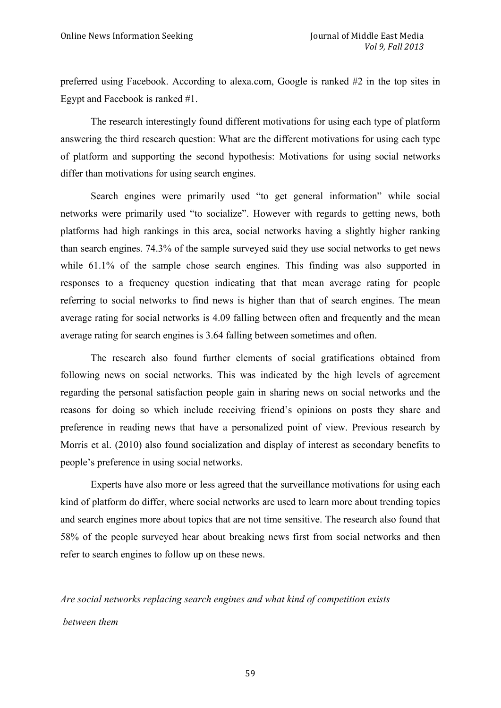preferred using Facebook. According to alexa.com, Google is ranked #2 in the top sites in Egypt and Facebook is ranked #1.

The research interestingly found different motivations for using each type of platform answering the third research question: What are the different motivations for using each type of platform and supporting the second hypothesis: Motivations for using social networks differ than motivations for using search engines.

Search engines were primarily used "to get general information" while social networks were primarily used "to socialize". However with regards to getting news, both platforms had high rankings in this area, social networks having a slightly higher ranking than search engines. 74.3% of the sample surveyed said they use social networks to get news while 61.1% of the sample chose search engines. This finding was also supported in responses to a frequency question indicating that that mean average rating for people referring to social networks to find news is higher than that of search engines. The mean average rating for social networks is 4.09 falling between often and frequently and the mean average rating for search engines is 3.64 falling between sometimes and often.

The research also found further elements of social gratifications obtained from following news on social networks. This was indicated by the high levels of agreement regarding the personal satisfaction people gain in sharing news on social networks and the reasons for doing so which include receiving friend's opinions on posts they share and preference in reading news that have a personalized point of view. Previous research by Morris et al. (2010) also found socialization and display of interest as secondary benefits to people's preference in using social networks.

Experts have also more or less agreed that the surveillance motivations for using each kind of platform do differ, where social networks are used to learn more about trending topics and search engines more about topics that are not time sensitive. The research also found that 58% of the people surveyed hear about breaking news first from social networks and then refer to search engines to follow up on these news.

*Are social networks replacing search engines and what kind of competition exists between them*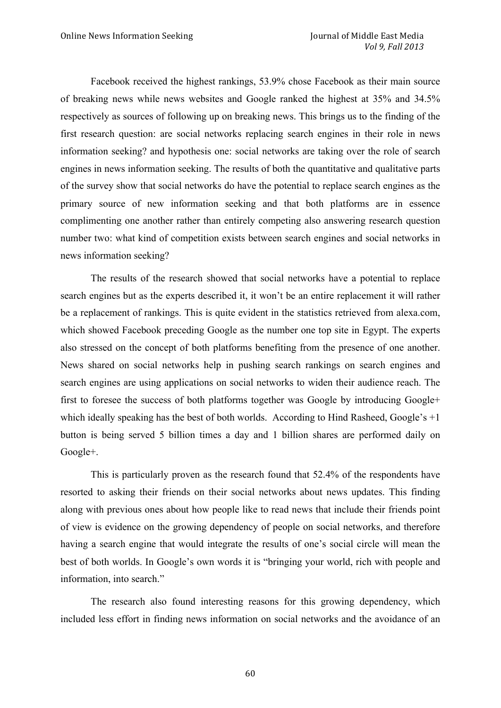Facebook received the highest rankings, 53.9% chose Facebook as their main source of breaking news while news websites and Google ranked the highest at 35% and 34.5% respectively as sources of following up on breaking news. This brings us to the finding of the first research question: are social networks replacing search engines in their role in news information seeking? and hypothesis one: social networks are taking over the role of search engines in news information seeking. The results of both the quantitative and qualitative parts of the survey show that social networks do have the potential to replace search engines as the primary source of new information seeking and that both platforms are in essence complimenting one another rather than entirely competing also answering research question number two: what kind of competition exists between search engines and social networks in news information seeking?

The results of the research showed that social networks have a potential to replace search engines but as the experts described it, it won't be an entire replacement it will rather be a replacement of rankings. This is quite evident in the statistics retrieved from alexa.com, which showed Facebook preceding Google as the number one top site in Egypt. The experts also stressed on the concept of both platforms benefiting from the presence of one another. News shared on social networks help in pushing search rankings on search engines and search engines are using applications on social networks to widen their audience reach. The first to foresee the success of both platforms together was Google by introducing Google+ which ideally speaking has the best of both worlds. According to Hind Rasheed, Google's +1 button is being served 5 billion times a day and 1 billion shares are performed daily on Google+.

This is particularly proven as the research found that 52.4% of the respondents have resorted to asking their friends on their social networks about news updates. This finding along with previous ones about how people like to read news that include their friends point of view is evidence on the growing dependency of people on social networks, and therefore having a search engine that would integrate the results of one's social circle will mean the best of both worlds. In Google's own words it is "bringing your world, rich with people and information, into search."

The research also found interesting reasons for this growing dependency, which included less effort in finding news information on social networks and the avoidance of an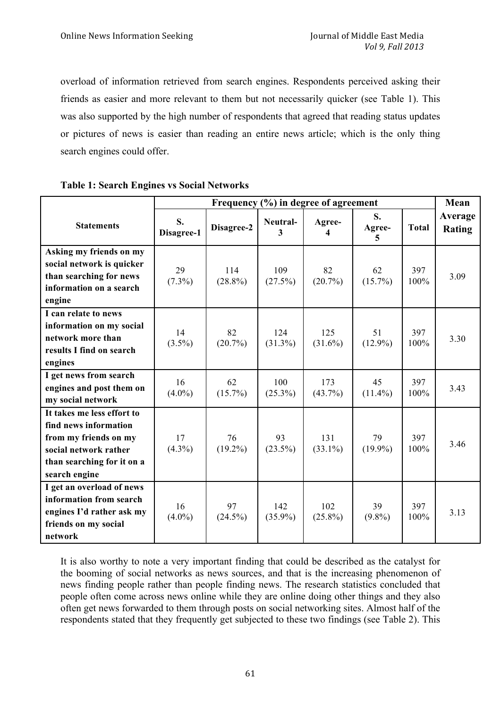overload of information retrieved from search engines. Respondents perceived asking their friends as easier and more relevant to them but not necessarily quicker (see Table 1). This was also supported by the high number of respondents that agreed that reading status updates or pictures of news is easier than reading an entire news article; which is the only thing search engines could offer.

|                                                                                                                                                      | Frequency (%) in degree of agreement |                   |                   |                   | Mean              |              |                          |
|------------------------------------------------------------------------------------------------------------------------------------------------------|--------------------------------------|-------------------|-------------------|-------------------|-------------------|--------------|--------------------------|
| <b>Statements</b>                                                                                                                                    | S.<br>Disagree-1                     | Disagree-2        | Neutral-<br>3     | Agree-<br>4       | S.<br>Agree-<br>5 | <b>Total</b> | Average<br><b>Rating</b> |
| Asking my friends on my<br>social network is quicker<br>than searching for news<br>information on a search<br>engine                                 | 29<br>$(7.3\%)$                      | 114<br>$(28.8\%)$ | 109<br>(27.5%)    | 82<br>$(20.7\%)$  | 62<br>$(15.7\%)$  | 397<br>100%  | 3.09                     |
| I can relate to news<br>information on my social<br>network more than<br>results I find on search<br>engines                                         | 14<br>$(3.5\%)$                      | 82<br>$(20.7\%)$  | 124<br>$(31.3\%)$ | 125<br>$(31.6\%)$ | 51<br>$(12.9\%)$  | 397<br>100%  | 3.30                     |
| I get news from search<br>engines and post them on<br>my social network                                                                              | 16<br>$(4.0\%)$                      | 62<br>$(15.7\%)$  | 100<br>$(25.3\%)$ | 173<br>$(43.7\%)$ | 45<br>$(11.4\%)$  | 397<br>100%  | 3.43                     |
| It takes me less effort to<br>find news information<br>from my friends on my<br>social network rather<br>than searching for it on a<br>search engine | 17<br>$(4.3\%)$                      | 76<br>$(19.2\%)$  | 93<br>$(23.5\%)$  | 131<br>$(33.1\%)$ | 79<br>$(19.9\%)$  | 397<br>100%  | 3.46                     |
| I get an overload of news<br>information from search<br>engines I'd rather ask my<br>friends on my social<br>network                                 | 16<br>$(4.0\%)$                      | 97<br>$(24.5\%)$  | 142<br>$(35.9\%)$ | 102<br>$(25.8\%)$ | 39<br>$(9.8\%)$   | 397<br>100%  | 3.13                     |

#### **Table 1: Search Engines vs Social Networks**

It is also worthy to note a very important finding that could be described as the catalyst for the booming of social networks as news sources, and that is the increasing phenomenon of news finding people rather than people finding news. The research statistics concluded that people often come across news online while they are online doing other things and they also often get news forwarded to them through posts on social networking sites. Almost half of the respondents stated that they frequently get subjected to these two findings (see Table 2). This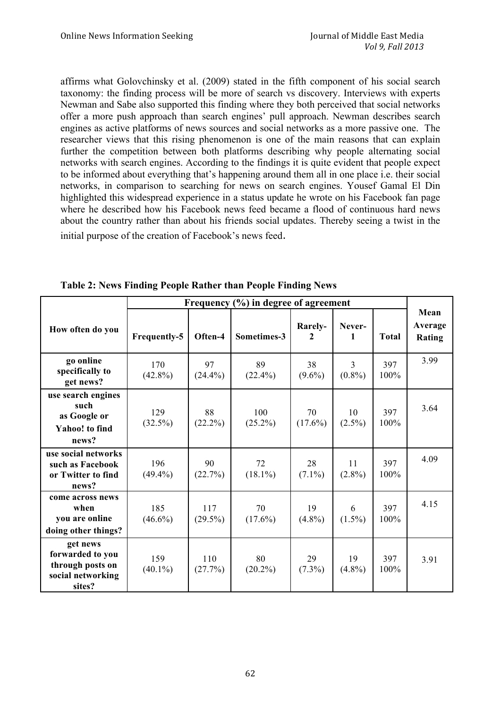affirms what Golovchinsky et al. (2009) stated in the fifth component of his social search taxonomy: the finding process will be more of search vs discovery. Interviews with experts Newman and Sabe also supported this finding where they both perceived that social networks offer a more push approach than search engines' pull approach. Newman describes search engines as active platforms of news sources and social networks as a more passive one. The researcher views that this rising phenomenon is one of the main reasons that can explain further the competition between both platforms describing why people alternating social networks with search engines. According to the findings it is quite evident that people expect to be informed about everything that's happening around them all in one place i.e. their social networks, in comparison to searching for news on search engines. Yousef Gamal El Din highlighted this widespread experience in a status update he wrote on his Facebook fan page where he described how his Facebook news feed became a flood of continuous hard news about the country rather than about his friends social updates. Thereby seeing a twist in the initial purpose of the creation of Facebook's news feed.

|                                                                                 | Frequency $(\% )$ in degree of agreement |                   |                   |                  |                             |                |                           |
|---------------------------------------------------------------------------------|------------------------------------------|-------------------|-------------------|------------------|-----------------------------|----------------|---------------------------|
| How often do you                                                                | <b>Frequently-5</b>                      | Often-4           | Sometimes-3       | Rarely-<br>2     | Never-<br>1                 | <b>Total</b>   | Mean<br>Average<br>Rating |
| go online<br>specifically to<br>get news?                                       | 170<br>$(42.8\%)$                        | 97<br>$(24.4\%)$  | 89<br>$(22.4\%)$  | 38<br>$(9.6\%)$  | $\overline{3}$<br>$(0.8\%)$ | 397<br>100%    | 3.99                      |
| use search engines<br>such<br>as Google or<br><b>Yahoo!</b> to find<br>news?    | 129<br>$(32.5\%)$                        | 88<br>$(22.2\%)$  | 100<br>$(25.2\%)$ | 70<br>$(17.6\%)$ | 10<br>$(2.5\%)$             | 397<br>100%    | 3.64                      |
| use social networks<br>such as Facebook<br>or Twitter to find<br>news?          | 196<br>$(49.4\%)$                        | 90<br>(22.7%)     | 72<br>$(18.1\%)$  | 28<br>$(7.1\%)$  | 11<br>$(2.8\%)$             | 397<br>100%    | 4.09                      |
| come across news<br>when<br>you are online<br>doing other things?               | 185<br>$(46.6\%)$                        | 117<br>$(29.5\%)$ | 70<br>$(17.6\%)$  | 19<br>$(4.8\%)$  | 6<br>$(1.5\%)$              | 397<br>$100\%$ | 4.15                      |
| get news<br>forwarded to you<br>through posts on<br>social networking<br>sites? | 159<br>$(40.1\%)$                        | 110<br>(27.7%)    | 80<br>$(20.2\%)$  | 29<br>$(7.3\%)$  | 19<br>$(4.8\%)$             | 397<br>100%    | 3.91                      |

**Table 2: News Finding People Rather than People Finding News**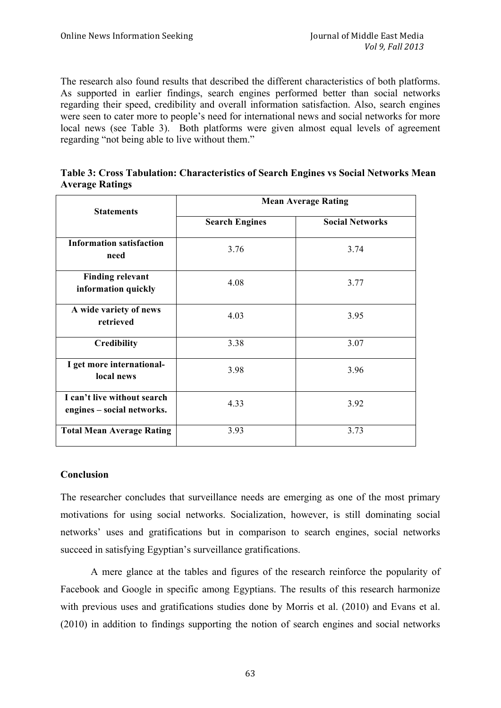The research also found results that described the different characteristics of both platforms. As supported in earlier findings, search engines performed better than social networks regarding their speed, credibility and overall information satisfaction. Also, search engines were seen to cater more to people's need for international news and social networks for more local news (see Table 3). Both platforms were given almost equal levels of agreement regarding "not being able to live without them."

|                        | Table 3: Cross Tabulation: Characteristics of Search Engines vs Social Networks Mean |  |  |
|------------------------|--------------------------------------------------------------------------------------|--|--|
| <b>Average Ratings</b> |                                                                                      |  |  |

|                                                           | <b>Mean Average Rating</b> |                        |  |  |  |
|-----------------------------------------------------------|----------------------------|------------------------|--|--|--|
| <b>Statements</b>                                         | <b>Search Engines</b>      | <b>Social Networks</b> |  |  |  |
| <b>Information satisfaction</b><br>need                   | 3.76                       | 3.74                   |  |  |  |
| <b>Finding relevant</b><br>information quickly            | 4.08                       | 3.77                   |  |  |  |
| A wide variety of news<br>retrieved                       | 4.03                       | 3.95                   |  |  |  |
| <b>Credibility</b>                                        | 3.38                       | 3.07                   |  |  |  |
| I get more international-<br>local news                   | 3.98                       | 3.96                   |  |  |  |
| I can't live without search<br>engines - social networks. | 4.33                       | 3.92                   |  |  |  |
| <b>Total Mean Average Rating</b>                          | 3.93                       | 3.73                   |  |  |  |

# **Conclusion**

The researcher concludes that surveillance needs are emerging as one of the most primary motivations for using social networks. Socialization, however, is still dominating social networks' uses and gratifications but in comparison to search engines, social networks succeed in satisfying Egyptian's surveillance gratifications.

A mere glance at the tables and figures of the research reinforce the popularity of Facebook and Google in specific among Egyptians. The results of this research harmonize with previous uses and gratifications studies done by Morris et al. (2010) and Evans et al. (2010) in addition to findings supporting the notion of search engines and social networks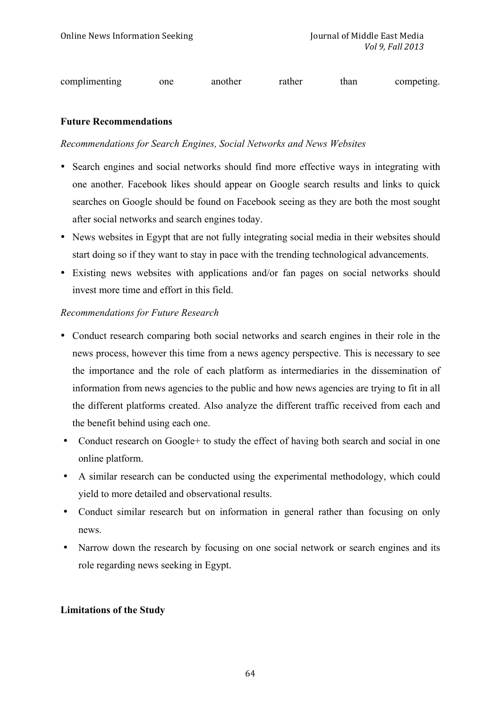complimenting one another rather than competing.

## **Future Recommendations**

## *Recommendations for Search Engines, Social Networks and News Websites*

- Search engines and social networks should find more effective ways in integrating with one another. Facebook likes should appear on Google search results and links to quick searches on Google should be found on Facebook seeing as they are both the most sought after social networks and search engines today.
- News websites in Egypt that are not fully integrating social media in their websites should start doing so if they want to stay in pace with the trending technological advancements.
- Existing news websites with applications and/or fan pages on social networks should invest more time and effort in this field.

## *Recommendations for Future Research*

- Conduct research comparing both social networks and search engines in their role in the news process, however this time from a news agency perspective. This is necessary to see the importance and the role of each platform as intermediaries in the dissemination of information from news agencies to the public and how news agencies are trying to fit in all the different platforms created. Also analyze the different traffic received from each and the benefit behind using each one.
- Conduct research on Google+ to study the effect of having both search and social in one online platform.
- A similar research can be conducted using the experimental methodology, which could yield to more detailed and observational results.
- Conduct similar research but on information in general rather than focusing on only news.
- Narrow down the research by focusing on one social network or search engines and its role regarding news seeking in Egypt.

#### **Limitations of the Study**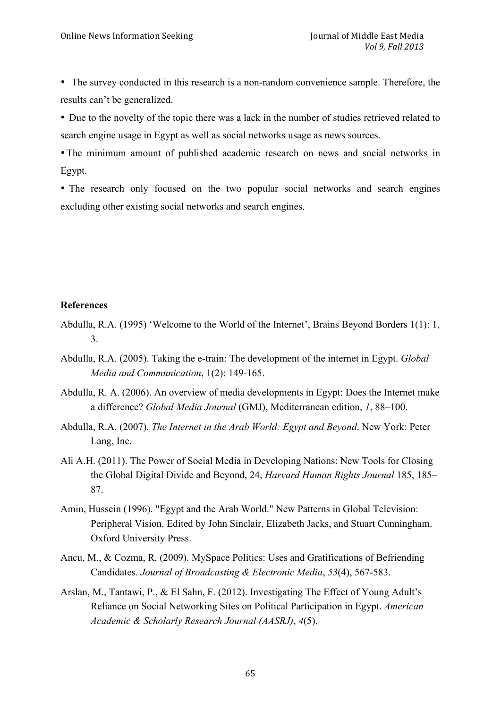• The survey conducted in this research is a non-random convenience sample. Therefore, the results can't be generalized.

• Due to the novelty of the topic there was a lack in the number of studies retrieved related to search engine usage in Egypt as well as social networks usage as news sources.

•The minimum amount of published academic research on news and social networks in Egypt.

• The research only focused on the two popular social networks and search engines excluding other existing social networks and search engines.

## **References**

- Abdulla, R.A. (1995) 'Welcome to the World of the Internet', Brains Beyond Borders 1(1): 1, 3.
- Abdulla, R.A. (2005). Taking the e-train: The development of the internet in Egypt. *Global Media and Communication*, 1(2): 149-165.
- Abdulla, R. A. (2006). An overview of media developments in Egypt: Does the Internet make a difference? *Global Media Journal* (GMJ), Mediterranean edition, *1*, 88–100.
- Abdulla, R.A. (2007). *The Internet in the Arab World: Egypt and Beyond*. New York: Peter Lang, Inc.
- Ali A.H. (2011). The Power of Social Media in Developing Nations: New Tools for Closing the Global Digital Divide and Beyond, 24, *Harvard Human Rights Journal* 185, 185– 87.
- Amin, Hussein (1996). "Egypt and the Arab World." New Patterns in Global Television: Peripheral Vision. Edited by John Sinclair, Elizabeth Jacks, and Stuart Cunningham. Oxford University Press.
- Ancu, M., & Cozma, R. (2009). MySpace Politics: Uses and Gratifications of Befriending Candidates. *Journal of Broadcasting & Electronic Media*, *53*(4), 567-583.
- Arslan, M., Tantawi, P., & El Sahn, F. (2012). Investigating The Effect of Young Adult's Reliance on Social Networking Sites on Political Participation in Egypt. *American Academic & Scholarly Research Journal (AASRJ)*, *4*(5).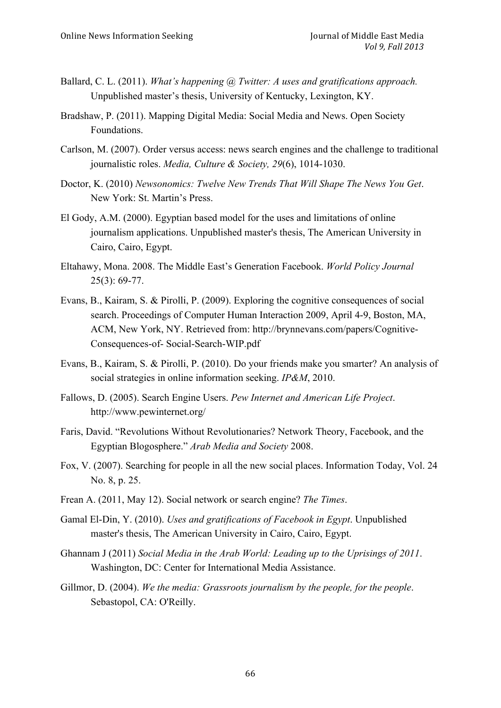- Ballard, C. L. (2011). *What's happening @ Twitter: A uses and gratifications approach.*  Unpublished master's thesis, University of Kentucky, Lexington, KY.
- Bradshaw, P. (2011). Mapping Digital Media: Social Media and News. Open Society Foundations.
- Carlson, M. (2007). Order versus access: news search engines and the challenge to traditional journalistic roles. *Media, Culture & Society, 29*(6), 1014-1030.
- Doctor, K. (2010) *Newsonomics: Twelve New Trends That Will Shape The News You Get*. New York: St. Martin's Press.
- El Gody, A.M. (2000). Egyptian based model for the uses and limitations of online journalism applications. Unpublished master's thesis, The American University in Cairo, Cairo, Egypt.
- Eltahawy, Mona. 2008. The Middle East's Generation Facebook. *World Policy Journal* 25(3): 69-77.
- Evans, B., Kairam, S. & Pirolli, P. (2009). Exploring the cognitive consequences of social search. Proceedings of Computer Human Interaction 2009, April 4-9, Boston, MA, ACM, New York, NY. Retrieved from: http://brynnevans.com/papers/Cognitive-Consequences-of- Social-Search-WIP.pdf
- Evans, B., Kairam, S. & Pirolli, P. (2010). Do your friends make you smarter? An analysis of social strategies in online information seeking. *IP&M*, 2010.
- Fallows, D. (2005). Search Engine Users. *Pew Internet and American Life Project*. http://www.pewinternet.org/
- Faris, David. "Revolutions Without Revolutionaries? Network Theory, Facebook, and the Egyptian Blogosphere." *Arab Media and Society* 2008.
- Fox, V. (2007). Searching for people in all the new social places. Information Today, Vol. 24 No. 8, p. 25.
- Frean A. (2011, May 12). Social network or search engine? *The Times*.
- Gamal El-Din, Y. (2010). *Uses and gratifications of Facebook in Egypt*. Unpublished master's thesis, The American University in Cairo, Cairo, Egypt.
- Ghannam J (2011) *Social Media in the Arab World: Leading up to the Uprisings of 2011*. Washington, DC: Center for International Media Assistance.
- Gillmor, D. (2004). *We the media: Grassroots journalism by the people, for the people*. Sebastopol, CA: O'Reilly.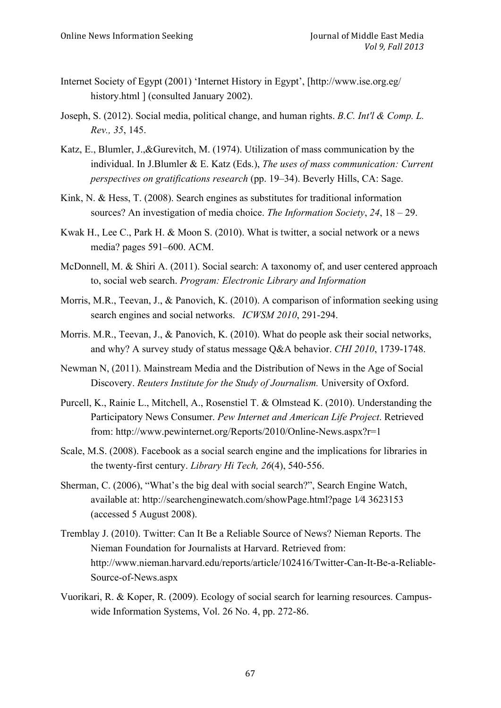- Internet Society of Egypt (2001) 'Internet History in Egypt', [http://www.ise.org.eg/ history.html ] (consulted January 2002).
- Joseph, S. (2012). Social media, political change, and human rights. *B.C. Int'l & Comp. L. Rev., 35*, 145.
- Katz, E., Blumler, J.,&Gurevitch, M. (1974). Utilization of mass communication by the individual. In J.Blumler & E. Katz (Eds.), *The uses of mass communication: Current perspectives on gratifications research* (pp. 19–34). Beverly Hills, CA: Sage.
- Kink, N. & Hess, T. (2008). Search engines as substitutes for traditional information sources? An investigation of media choice. *The Information Society*, *24*, 18 – 29.
- Kwak H., Lee C., Park H. & Moon S. (2010). What is twitter, a social network or a news media? pages 591–600. ACM.
- McDonnell, M. & Shiri A. (2011). Social search: A taxonomy of, and user centered approach to, social web search. *Program: Electronic Library and Information*
- Morris, M.R., Teevan, J., & Panovich, K. (2010). A comparison of information seeking using search engines and social networks. *ICWSM 2010*, 291-294.
- Morris. M.R., Teevan, J., & Panovich, K. (2010). What do people ask their social networks, and why? A survey study of status message Q&A behavior. *CHI 2010*, 1739-1748.
- Newman N, (2011). Mainstream Media and the Distribution of News in the Age of Social Discovery. *Reuters Institute for the Study of Journalism.* University of Oxford.
- Purcell, K., Rainie L., Mitchell, A., Rosenstiel T. & Olmstead K. (2010). Understanding the Participatory News Consumer. *Pew Internet and American Life Project*. Retrieved from: http://www.pewinternet.org/Reports/2010/Online-News.aspx?r=1
- Scale, M.S. (2008). Facebook as a social search engine and the implications for libraries in the twenty-first century. *Library Hi Tech, 26*(4), 540-556.
- Sherman, C. (2006), "What's the big deal with social search?", Search Engine Watch, available at: http://searchenginewatch.com/showPage.html?page 1⁄4 3623153 (accessed 5 August 2008).
- Tremblay J. (2010). Twitter: Can It Be a Reliable Source of News? Nieman Reports. The Nieman Foundation for Journalists at Harvard. Retrieved from: http://www.nieman.harvard.edu/reports/article/102416/Twitter-Can-It-Be-a-Reliable-Source-of-News.aspx
- Vuorikari, R. & Koper, R. (2009). Ecology of social search for learning resources. Campuswide Information Systems, Vol. 26 No. 4, pp. 272-86.